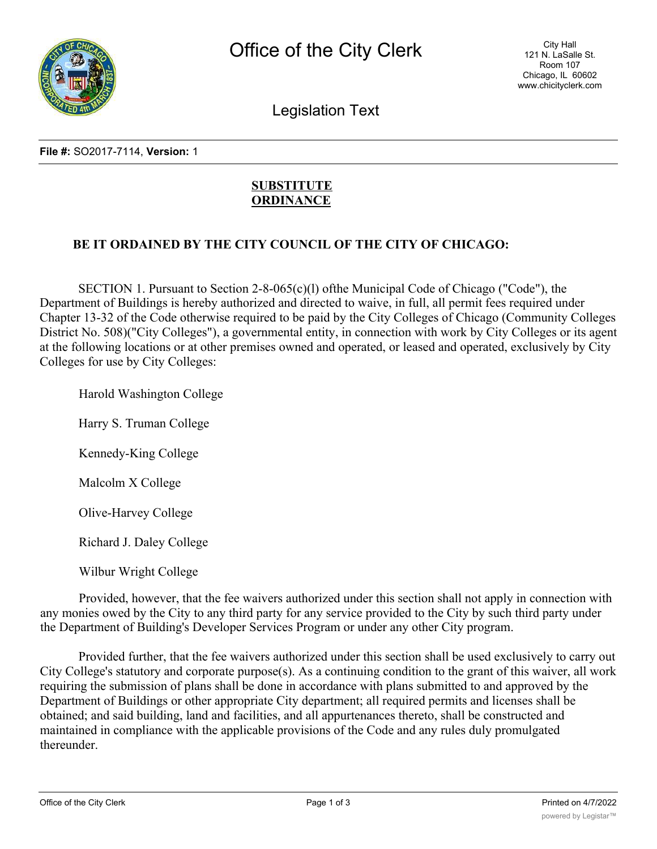

Legislation Text

#### **File #:** SO2017-7114, **Version:** 1

# **SUBSTITUTE ORDINANCE**

## **BE IT ORDAINED BY THE CITY COUNCIL OF THE CITY OF CHICAGO:**

SECTION 1. Pursuant to Section 2-8-065(c)(l) ofthe Municipal Code of Chicago ("Code"), the Department of Buildings is hereby authorized and directed to waive, in full, all permit fees required under Chapter 13-32 of the Code otherwise required to be paid by the City Colleges of Chicago (Community Colleges District No. 508)("City Colleges"), a governmental entity, in connection with work by City Colleges or its agent at the following locations or at other premises owned and operated, or leased and operated, exclusively by City Colleges for use by City Colleges:

Harold Washington College

Harry S. Truman College

Kennedy-King College

Malcolm X College

Olive-Harvey College

Richard J. Daley College

Wilbur Wright College

Provided, however, that the fee waivers authorized under this section shall not apply in connection with any monies owed by the City to any third party for any service provided to the City by such third party under the Department of Building's Developer Services Program or under any other City program.

Provided further, that the fee waivers authorized under this section shall be used exclusively to carry out City College's statutory and corporate purpose(s). As a continuing condition to the grant of this waiver, all work requiring the submission of plans shall be done in accordance with plans submitted to and approved by the Department of Buildings or other appropriate City department; all required permits and licenses shall be obtained; and said building, land and facilities, and all appurtenances thereto, shall be constructed and maintained in compliance with the applicable provisions of the Code and any rules duly promulgated thereunder.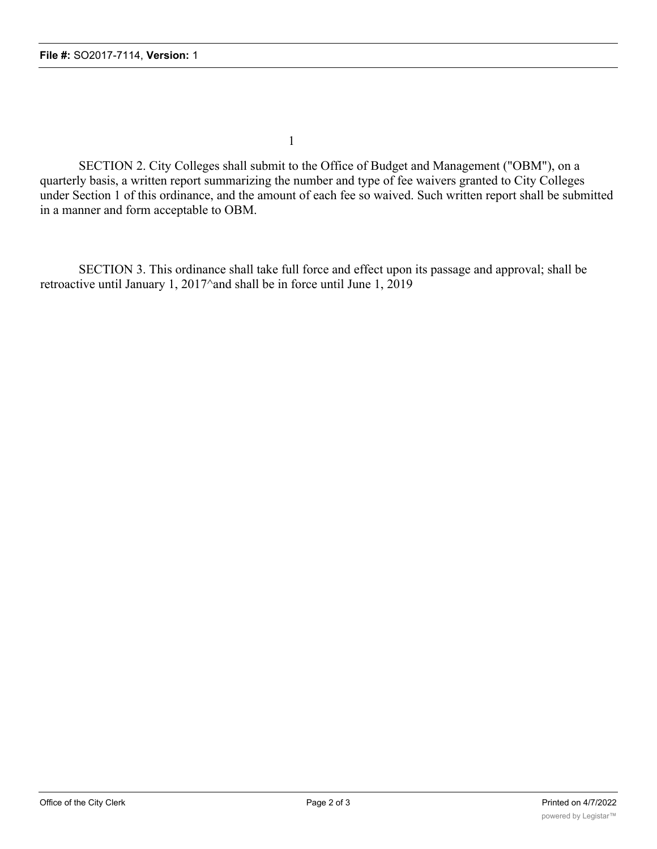1

SECTION 2. City Colleges shall submit to the Office of Budget and Management ("OBM"), on a quarterly basis, a written report summarizing the number and type of fee waivers granted to City Colleges under Section 1 of this ordinance, and the amount of each fee so waived. Such written report shall be submitted in a manner and form acceptable to OBM.

SECTION 3. This ordinance shall take full force and effect upon its passage and approval; shall be retroactive until January 1, 2017^and shall be in force until June 1, 2019